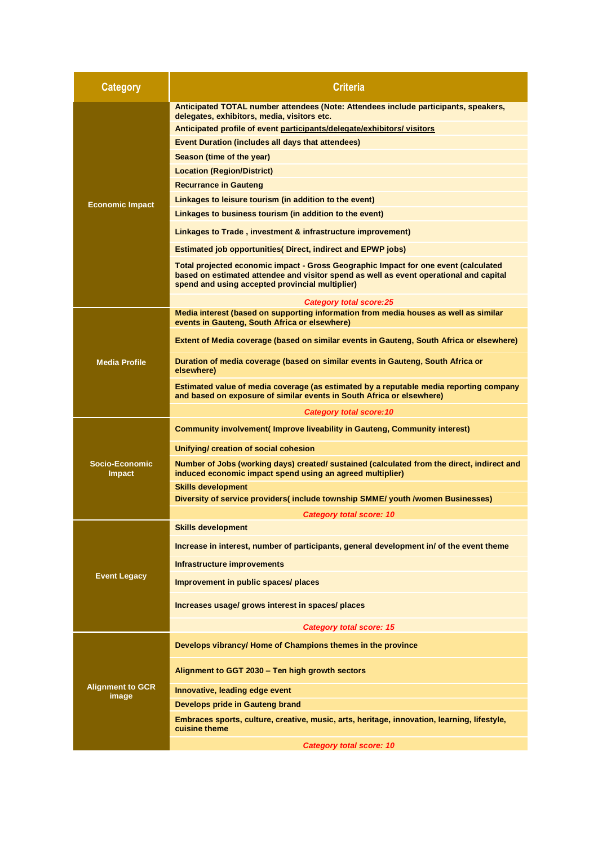| <b>Category</b>                  | <b>Criteria</b>                                                                                                                                                                                                                  |
|----------------------------------|----------------------------------------------------------------------------------------------------------------------------------------------------------------------------------------------------------------------------------|
| <b>Economic Impact</b>           | Anticipated TOTAL number attendees (Note: Attendees include participants, speakers,<br>delegates, exhibitors, media, visitors etc.                                                                                               |
|                                  | Anticipated profile of event participants/delegate/exhibitors/ visitors                                                                                                                                                          |
|                                  | <b>Event Duration (includes all days that attendees)</b>                                                                                                                                                                         |
|                                  | Season (time of the year)                                                                                                                                                                                                        |
|                                  | <b>Location (Region/District)</b>                                                                                                                                                                                                |
|                                  | <b>Recurrance in Gauteng</b>                                                                                                                                                                                                     |
|                                  | Linkages to leisure tourism (in addition to the event)                                                                                                                                                                           |
|                                  | Linkages to business tourism (in addition to the event)                                                                                                                                                                          |
|                                  | Linkages to Trade, investment & infrastructure improvement)                                                                                                                                                                      |
|                                  | <b>Estimated job opportunities Direct, indirect and EPWP jobs)</b>                                                                                                                                                               |
|                                  | Total projected economic impact - Gross Geographic Impact for one event (calculated<br>based on estimated attendee and visitor spend as well as event operational and capital<br>spend and using accepted provincial multiplier) |
|                                  | <b>Category total score:25</b>                                                                                                                                                                                                   |
| <b>Media Profile</b>             | Media interest (based on supporting information from media houses as well as similar<br>events in Gauteng, South Africa or elsewhere)                                                                                            |
|                                  | Extent of Media coverage (based on similar events in Gauteng, South Africa or elsewhere)                                                                                                                                         |
|                                  | Duration of media coverage (based on similar events in Gauteng, South Africa or<br>elsewhere)                                                                                                                                    |
|                                  | Estimated value of media coverage (as estimated by a reputable media reporting company<br>and based on exposure of similar events in South Africa or elsewhere)                                                                  |
|                                  | <b>Category total score: 10</b>                                                                                                                                                                                                  |
|                                  | <b>Community involvement(Improve liveability in Gauteng, Community interest)</b>                                                                                                                                                 |
|                                  | Unifying/ creation of social cohesion                                                                                                                                                                                            |
| Socio-Economic<br><b>Impact</b>  | Number of Jobs (working days) created/ sustained (calculated from the direct, indirect and<br>induced economic impact spend using an agreed multiplier)                                                                          |
|                                  | <b>Skills development</b>                                                                                                                                                                                                        |
|                                  | Diversity of service providers( include township SMME/ youth /women Businesses)                                                                                                                                                  |
| <b>Event Legacy</b>              | Category total score: 10<br><b>Skills development</b>                                                                                                                                                                            |
|                                  |                                                                                                                                                                                                                                  |
|                                  | Increase in interest, number of participants, general development in/ of the event theme                                                                                                                                         |
|                                  | Infrastructure improvements                                                                                                                                                                                                      |
|                                  | Improvement in public spaces/ places                                                                                                                                                                                             |
|                                  | Increases usage/ grows interest in spaces/ places                                                                                                                                                                                |
|                                  | Category total score: 15                                                                                                                                                                                                         |
| <b>Alignment to GCR</b><br>image | Develops vibrancy/ Home of Champions themes in the province                                                                                                                                                                      |
|                                  | Alignment to GGT 2030 - Ten high growth sectors                                                                                                                                                                                  |
|                                  | Innovative, leading edge event                                                                                                                                                                                                   |
|                                  | Develops pride in Gauteng brand                                                                                                                                                                                                  |
|                                  | Embraces sports, culture, creative, music, arts, heritage, innovation, learning, lifestyle,<br>cuisine theme                                                                                                                     |
|                                  | <b>Category total score: 10</b>                                                                                                                                                                                                  |